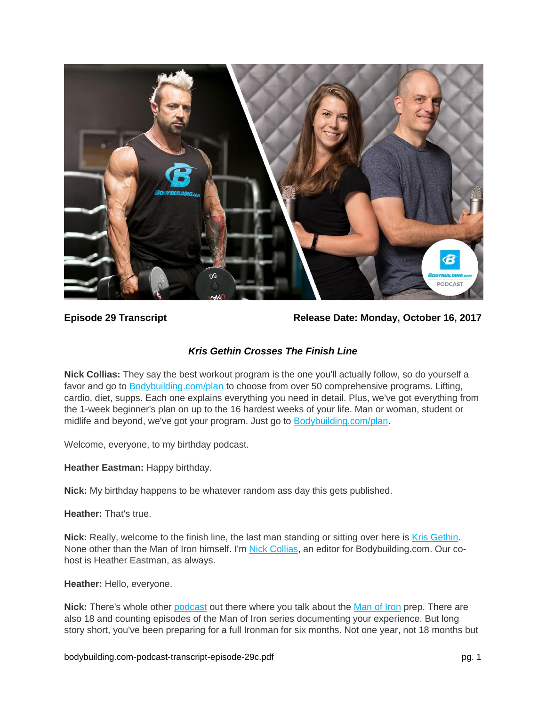

**Episode 29 Transcript Release Date: Monday, October 16, 2017**

# *Kris Gethin Crosses The Finish Line*

**Nick Collias:** They say the best workout program is the one you'll actually follow, so do yourself a favor and go to [Bodybuilding.com/plan](https://www.bodybuilding.com/plan) to choose from over 50 comprehensive programs. Lifting, cardio, diet, supps. Each one explains everything you need in detail. Plus, we've got everything from the 1-week beginner's plan on up to the 16 hardest weeks of your life. Man or woman, student or midlife and beyond, we've got your program. Just go to [Bodybuilding.com/plan.](https://www.bodybuilding.com/plan)

Welcome, everyone, to my birthday podcast.

**Heather Eastman:** Happy birthday.

**Nick:** My birthday happens to be whatever random ass day this gets published.

**Heather:** That's true.

**Nick:** Really, welcome to the finish line, the last man standing or sitting over here is [Kris Gethin.](https://www.bodybuilding.com/author/kris-gethin) None other than the Man of Iron himself. I'm [Nick Collias,](https://www.bodybuilding.com/author/nick-collias) an editor for Bodybuilding.com. Our cohost is Heather Eastman, as always.

**Heather:** Hello, everyone.

**Nick:** There's whole other [podcast](https://www.bodybuilding.com/fun/podcast-episode-17-kris-gethin-meet-the-man-of-iron.html) out there where you talk about the [Man of Iron](https://www.bodybuilding.com/manofiron) prep. There are also 18 and counting episodes of the Man of Iron series documenting your experience. But long story short, you've been preparing for a full Ironman for six months. Not one year, not 18 months but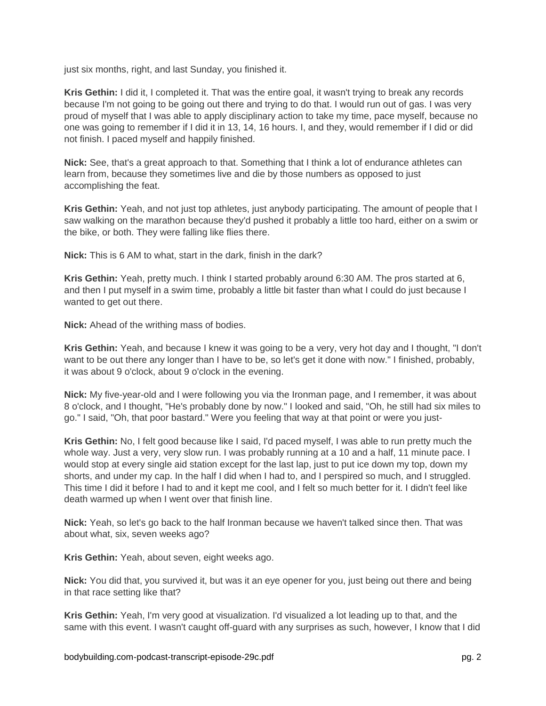just six months, right, and last Sunday, you finished it.

**Kris Gethin:** I did it, I completed it. That was the entire goal, it wasn't trying to break any records because I'm not going to be going out there and trying to do that. I would run out of gas. I was very proud of myself that I was able to apply disciplinary action to take my time, pace myself, because no one was going to remember if I did it in 13, 14, 16 hours. I, and they, would remember if I did or did not finish. I paced myself and happily finished.

**Nick:** See, that's a great approach to that. Something that I think a lot of endurance athletes can learn from, because they sometimes live and die by those numbers as opposed to just accomplishing the feat.

**Kris Gethin:** Yeah, and not just top athletes, just anybody participating. The amount of people that I saw walking on the marathon because they'd pushed it probably a little too hard, either on a swim or the bike, or both. They were falling like flies there.

**Nick:** This is 6 AM to what, start in the dark, finish in the dark?

**Kris Gethin:** Yeah, pretty much. I think I started probably around 6:30 AM. The pros started at 6, and then I put myself in a swim time, probably a little bit faster than what I could do just because I wanted to get out there.

**Nick:** Ahead of the writhing mass of bodies.

**Kris Gethin:** Yeah, and because I knew it was going to be a very, very hot day and I thought, "I don't want to be out there any longer than I have to be, so let's get it done with now." I finished, probably, it was about 9 o'clock, about 9 o'clock in the evening.

**Nick:** My five-year-old and I were following you via the Ironman page, and I remember, it was about 8 o'clock, and I thought, "He's probably done by now." I looked and said, "Oh, he still had six miles to go." I said, "Oh, that poor bastard." Were you feeling that way at that point or were you just-

**Kris Gethin:** No, I felt good because like I said, I'd paced myself, I was able to run pretty much the whole way. Just a very, very slow run. I was probably running at a 10 and a half, 11 minute pace. I would stop at every single aid station except for the last lap, just to put ice down my top, down my shorts, and under my cap. In the half I did when I had to, and I perspired so much, and I struggled. This time I did it before I had to and it kept me cool, and I felt so much better for it. I didn't feel like death warmed up when I went over that finish line.

**Nick:** Yeah, so let's go back to the half Ironman because we haven't talked since then. That was about what, six, seven weeks ago?

**Kris Gethin:** Yeah, about seven, eight weeks ago.

**Nick:** You did that, you survived it, but was it an eye opener for you, just being out there and being in that race setting like that?

**Kris Gethin:** Yeah, I'm very good at visualization. I'd visualized a lot leading up to that, and the same with this event. I wasn't caught off-guard with any surprises as such, however, I know that I did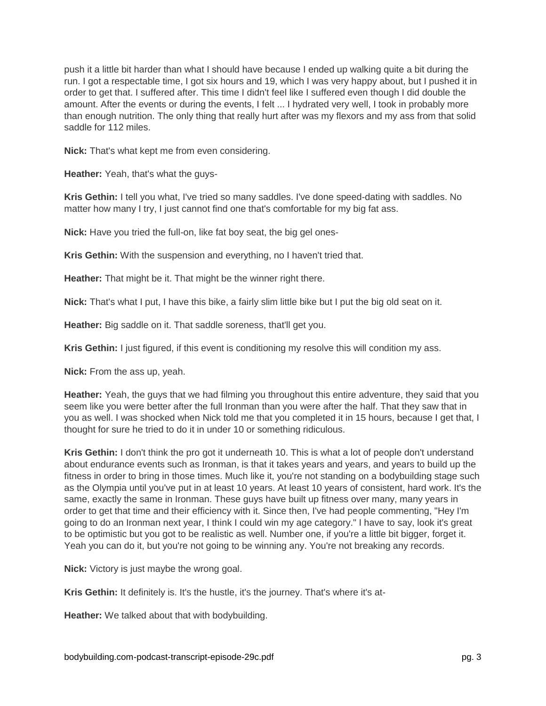push it a little bit harder than what I should have because I ended up walking quite a bit during the run. I got a respectable time, I got six hours and 19, which I was very happy about, but I pushed it in order to get that. I suffered after. This time I didn't feel like I suffered even though I did double the amount. After the events or during the events, I felt ... I hydrated very well, I took in probably more than enough nutrition. The only thing that really hurt after was my flexors and my ass from that solid saddle for 112 miles.

**Nick:** That's what kept me from even considering.

**Heather:** Yeah, that's what the guys-

**Kris Gethin:** I tell you what, I've tried so many saddles. I've done speed-dating with saddles. No matter how many I try, I just cannot find one that's comfortable for my big fat ass.

**Nick:** Have you tried the full-on, like fat boy seat, the big gel ones-

**Kris Gethin:** With the suspension and everything, no I haven't tried that.

**Heather:** That might be it. That might be the winner right there.

**Nick:** That's what I put, I have this bike, a fairly slim little bike but I put the big old seat on it.

**Heather:** Big saddle on it. That saddle soreness, that'll get you.

**Kris Gethin:** I just figured, if this event is conditioning my resolve this will condition my ass.

**Nick:** From the ass up, yeah.

**Heather:** Yeah, the guys that we had filming you throughout this entire adventure, they said that you seem like you were better after the full Ironman than you were after the half. That they saw that in you as well. I was shocked when Nick told me that you completed it in 15 hours, because I get that, I thought for sure he tried to do it in under 10 or something ridiculous.

**Kris Gethin:** I don't think the pro got it underneath 10. This is what a lot of people don't understand about endurance events such as Ironman, is that it takes years and years, and years to build up the fitness in order to bring in those times. Much like it, you're not standing on a bodybuilding stage such as the Olympia until you've put in at least 10 years. At least 10 years of consistent, hard work. It's the same, exactly the same in Ironman. These guys have built up fitness over many, many years in order to get that time and their efficiency with it. Since then, I've had people commenting, "Hey I'm going to do an Ironman next year, I think I could win my age category." I have to say, look it's great to be optimistic but you got to be realistic as well. Number one, if you're a little bit bigger, forget it. Yeah you can do it, but you're not going to be winning any. You're not breaking any records.

**Nick:** Victory is just maybe the wrong goal.

**Kris Gethin:** It definitely is. It's the hustle, it's the journey. That's where it's at-

**Heather:** We talked about that with bodybuilding.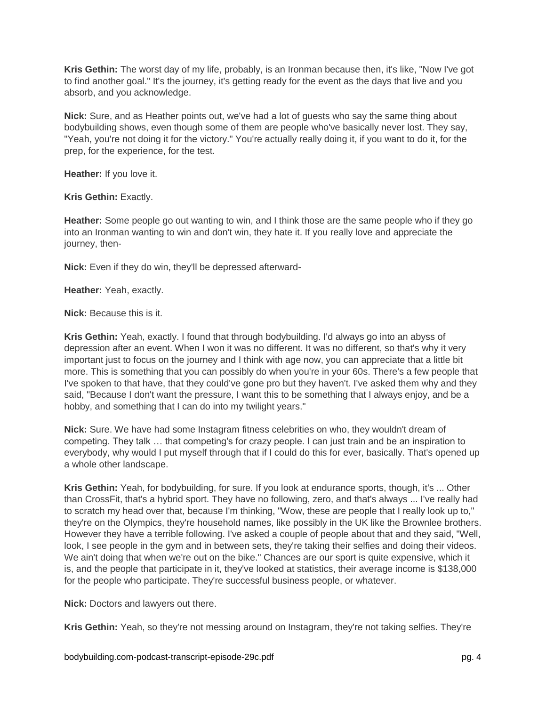**Kris Gethin:** The worst day of my life, probably, is an Ironman because then, it's like, "Now I've got to find another goal." It's the journey, it's getting ready for the event as the days that live and you absorb, and you acknowledge.

**Nick:** Sure, and as Heather points out, we've had a lot of guests who say the same thing about bodybuilding shows, even though some of them are people who've basically never lost. They say, "Yeah, you're not doing it for the victory." You're actually really doing it, if you want to do it, for the prep, for the experience, for the test.

**Heather:** If you love it.

**Kris Gethin:** Exactly.

**Heather:** Some people go out wanting to win, and I think those are the same people who if they go into an Ironman wanting to win and don't win, they hate it. If you really love and appreciate the journey, then-

**Nick:** Even if they do win, they'll be depressed afterward-

**Heather:** Yeah, exactly.

**Nick:** Because this is it.

**Kris Gethin:** Yeah, exactly. I found that through bodybuilding. I'd always go into an abyss of depression after an event. When I won it was no different. It was no different, so that's why it very important just to focus on the journey and I think with age now, you can appreciate that a little bit more. This is something that you can possibly do when you're in your 60s. There's a few people that I've spoken to that have, that they could've gone pro but they haven't. I've asked them why and they said, "Because I don't want the pressure, I want this to be something that I always enjoy, and be a hobby, and something that I can do into my twilight years."

**Nick:** Sure. We have had some Instagram fitness celebrities on who, they wouldn't dream of competing. They talk … that competing's for crazy people. I can just train and be an inspiration to everybody, why would I put myself through that if I could do this for ever, basically. That's opened up a whole other landscape.

**Kris Gethin:** Yeah, for bodybuilding, for sure. If you look at endurance sports, though, it's ... Other than CrossFit, that's a hybrid sport. They have no following, zero, and that's always ... I've really had to scratch my head over that, because I'm thinking, "Wow, these are people that I really look up to," they're on the Olympics, they're household names, like possibly in the UK like the Brownlee brothers. However they have a terrible following. I've asked a couple of people about that and they said, "Well, look, I see people in the gym and in between sets, they're taking their selfies and doing their videos. We ain't doing that when we're out on the bike." Chances are our sport is quite expensive, which it is, and the people that participate in it, they've looked at statistics, their average income is \$138,000 for the people who participate. They're successful business people, or whatever.

**Nick:** Doctors and lawyers out there.

**Kris Gethin:** Yeah, so they're not messing around on Instagram, they're not taking selfies. They're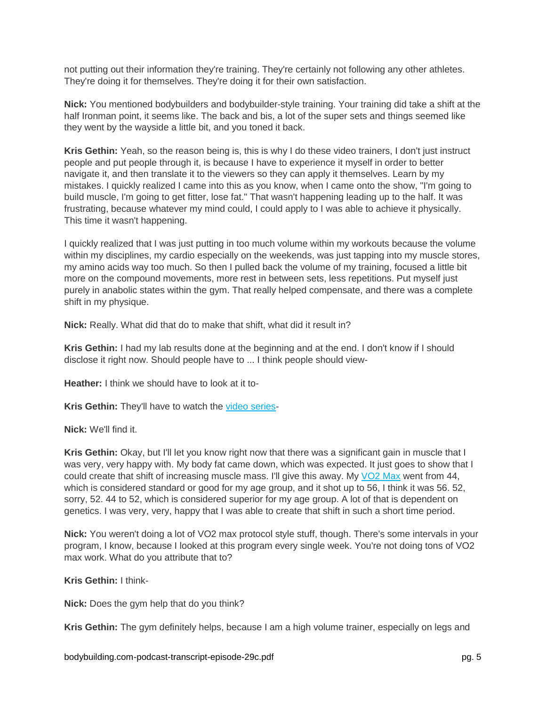not putting out their information they're training. They're certainly not following any other athletes. They're doing it for themselves. They're doing it for their own satisfaction.

**Nick:** You mentioned bodybuilders and bodybuilder-style training. Your training did take a shift at the half Ironman point, it seems like. The back and bis, a lot of the super sets and things seemed like they went by the wayside a little bit, and you toned it back.

**Kris Gethin:** Yeah, so the reason being is, this is why I do these video trainers, I don't just instruct people and put people through it, is because I have to experience it myself in order to better navigate it, and then translate it to the viewers so they can apply it themselves. Learn by my mistakes. I quickly realized I came into this as you know, when I came onto the show, "I'm going to build muscle, I'm going to get fitter, lose fat." That wasn't happening leading up to the half. It was frustrating, because whatever my mind could, I could apply to I was able to achieve it physically. This time it wasn't happening.

I quickly realized that I was just putting in too much volume within my workouts because the volume within my disciplines, my cardio especially on the weekends, was just tapping into my muscle stores, my amino acids way too much. So then I pulled back the volume of my training, focused a little bit more on the compound movements, more rest in between sets, less repetitions. Put myself just purely in anabolic states within the gym. That really helped compensate, and there was a complete shift in my physique.

**Nick:** Really. What did that do to make that shift, what did it result in?

**Kris Gethin:** I had my lab results done at the beginning and at the end. I don't know if I should disclose it right now. Should people have to ... I think people should view-

**Heather:** I think we should have to look at it to-

**Kris Gethin:** They'll have to watch the [video series-](https://www.youtube.com/playlist?list=PLLXmeIOBkPXRvbs5-G_am9SLCfvk7scbE)

### **Nick:** We'll find it.

**Kris Gethin:** Okay, but I'll let you know right now that there was a significant gain in muscle that I was very, very happy with. My body fat came down, which was expected. It just goes to show that I could create that shift of increasing muscle mass. I'll give this away. My [VO2 Max](https://www.bodybuilding.com/fun/vo2max.htm) went from 44, which is considered standard or good for my age group, and it shot up to 56, I think it was 56. 52, sorry, 52. 44 to 52, which is considered superior for my age group. A lot of that is dependent on genetics. I was very, very, happy that I was able to create that shift in such a short time period.

**Nick:** You weren't doing a lot of VO2 max protocol style stuff, though. There's some intervals in your program, I know, because I looked at this program every single week. You're not doing tons of VO2 max work. What do you attribute that to?

**Kris Gethin:** I think-

**Nick:** Does the gym help that do you think?

**Kris Gethin:** The gym definitely helps, because I am a high volume trainer, especially on legs and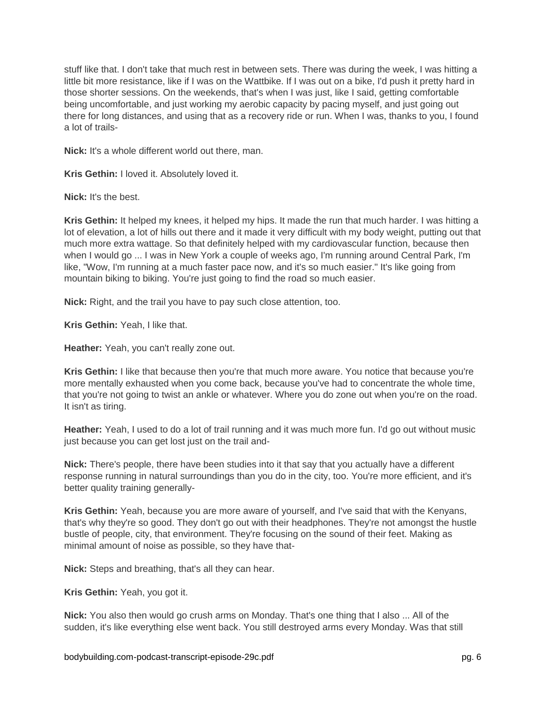stuff like that. I don't take that much rest in between sets. There was during the week, I was hitting a little bit more resistance, like if I was on the Wattbike. If I was out on a bike, I'd push it pretty hard in those shorter sessions. On the weekends, that's when I was just, like I said, getting comfortable being uncomfortable, and just working my aerobic capacity by pacing myself, and just going out there for long distances, and using that as a recovery ride or run. When I was, thanks to you, I found a lot of trails-

**Nick:** It's a whole different world out there, man.

**Kris Gethin:** I loved it. Absolutely loved it.

**Nick:** It's the best.

**Kris Gethin:** It helped my knees, it helped my hips. It made the run that much harder. I was hitting a lot of elevation, a lot of hills out there and it made it very difficult with my body weight, putting out that much more extra wattage. So that definitely helped with my cardiovascular function, because then when I would go ... I was in New York a couple of weeks ago, I'm running around Central Park, I'm like, "Wow, I'm running at a much faster pace now, and it's so much easier." It's like going from mountain biking to biking. You're just going to find the road so much easier.

**Nick:** Right, and the trail you have to pay such close attention, too.

**Kris Gethin:** Yeah, I like that.

**Heather:** Yeah, you can't really zone out.

**Kris Gethin:** I like that because then you're that much more aware. You notice that because you're more mentally exhausted when you come back, because you've had to concentrate the whole time, that you're not going to twist an ankle or whatever. Where you do zone out when you're on the road. It isn't as tiring.

**Heather:** Yeah, I used to do a lot of trail running and it was much more fun. I'd go out without music just because you can get lost just on the trail and-

**Nick:** There's people, there have been studies into it that say that you actually have a different response running in natural surroundings than you do in the city, too. You're more efficient, and it's better quality training generally-

**Kris Gethin:** Yeah, because you are more aware of yourself, and I've said that with the Kenyans, that's why they're so good. They don't go out with their headphones. They're not amongst the hustle bustle of people, city, that environment. They're focusing on the sound of their feet. Making as minimal amount of noise as possible, so they have that-

**Nick:** Steps and breathing, that's all they can hear.

**Kris Gethin:** Yeah, you got it.

**Nick:** You also then would go crush arms on Monday. That's one thing that I also ... All of the sudden, it's like everything else went back. You still destroyed arms every Monday. Was that still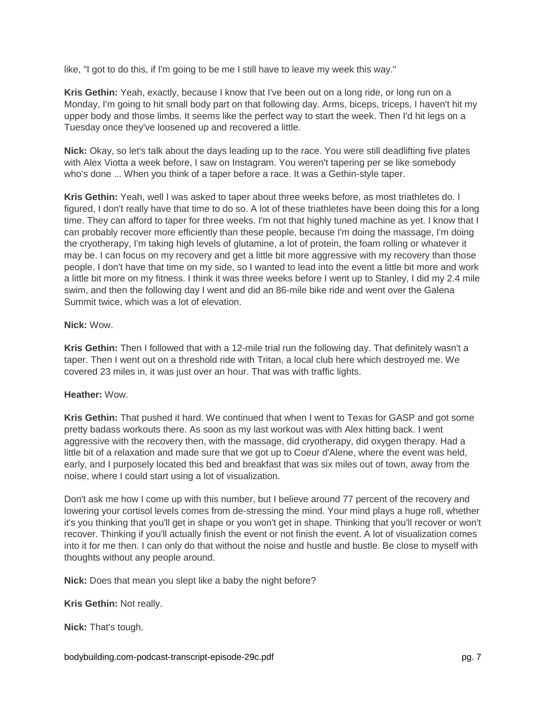like, "I got to do this, if I'm going to be me I still have to leave my week this way."

**Kris Gethin:** Yeah, exactly, because I know that I've been out on a long ride, or long run on a Monday, I'm going to hit small body part on that following day. Arms, biceps, triceps, I haven't hit my upper body and those limbs. It seems like the perfect way to start the week. Then I'd hit legs on a Tuesday once they've loosened up and recovered a little.

**Nick:** Okay, so let's talk about the days leading up to the race. You were still deadlifting five plates with Alex Viotta a week before, I saw on Instagram. You weren't tapering per se like somebody who's done ... When you think of a taper before a race. It was a Gethin-style taper.

**Kris Gethin:** Yeah, well I was asked to taper about three weeks before, as most triathletes do. I figured, I don't really have that time to do so. A lot of these triathletes have been doing this for a long time. They can afford to taper for three weeks. I'm not that highly tuned machine as yet. I know that I can probably recover more efficiently than these people, because I'm doing the massage, I'm doing the cryotherapy, I'm taking high levels of glutamine, a lot of protein, the foam rolling or whatever it may be. I can focus on my recovery and get a little bit more aggressive with my recovery than those people. I don't have that time on my side, so I wanted to lead into the event a little bit more and work a little bit more on my fitness. I think it was three weeks before I went up to Stanley, I did my 2.4 mile swim, and then the following day I went and did an 86-mile bike ride and went over the Galena Summit twice, which was a lot of elevation.

### **Nick:** Wow.

**Kris Gethin:** Then I followed that with a 12-mile trial run the following day. That definitely wasn't a taper. Then I went out on a threshold ride with Tritan, a local club here which destroyed me. We covered 23 miles in, it was just over an hour. That was with traffic lights.

## **Heather:** Wow.

**Kris Gethin:** That pushed it hard. We continued that when I went to Texas for GASP and got some pretty badass workouts there. As soon as my last workout was with Alex hitting back. I went aggressive with the recovery then, with the massage, did cryotherapy, did oxygen therapy. Had a little bit of a relaxation and made sure that we got up to Coeur d'Alene, where the event was held, early, and I purposely located this bed and breakfast that was six miles out of town, away from the noise, where I could start using a lot of visualization.

Don't ask me how I come up with this number, but I believe around 77 percent of the recovery and lowering your cortisol levels comes from de-stressing the mind. Your mind plays a huge roll, whether it's you thinking that you'll get in shape or you won't get in shape. Thinking that you'll recover or won't recover. Thinking if you'll actually finish the event or not finish the event. A lot of visualization comes into it for me then. I can only do that without the noise and hustle and bustle. Be close to myself with thoughts without any people around.

**Nick:** Does that mean you slept like a baby the night before?

**Kris Gethin:** Not really.

**Nick:** That's tough.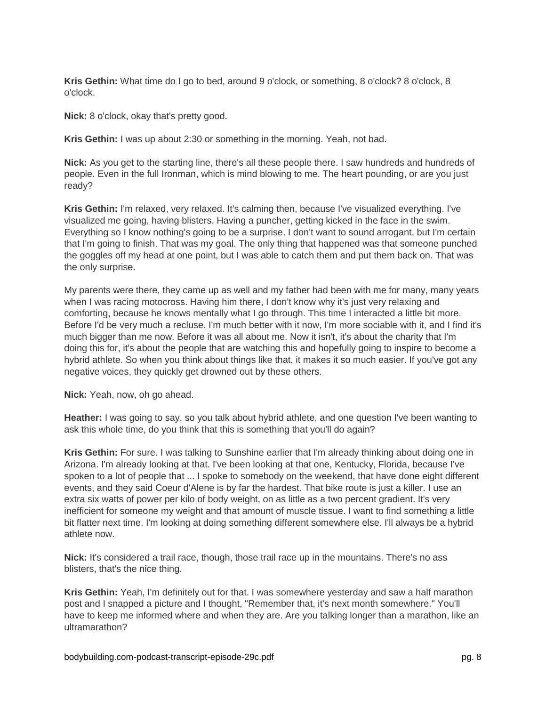**Kris Gethin:** What time do I go to bed, around 9 o'clock, or something, 8 o'clock? 8 o'clock, 8 o'clock.

**Nick:** 8 o'clock, okay that's pretty good.

**Kris Gethin:** I was up about 2:30 or something in the morning. Yeah, not bad.

**Nick:** As you get to the starting line, there's all these people there. I saw hundreds and hundreds of people. Even in the full Ironman, which is mind blowing to me. The heart pounding, or are you just ready?

**Kris Gethin:** I'm relaxed, very relaxed. It's calming then, because I've visualized everything. I've visualized me going, having blisters. Having a puncher, getting kicked in the face in the swim. Everything so I know nothing's going to be a surprise. I don't want to sound arrogant, but I'm certain that I'm going to finish. That was my goal. The only thing that happened was that someone punched the goggles off my head at one point, but I was able to catch them and put them back on. That was the only surprise.

My parents were there, they came up as well and my father had been with me for many, many years when I was racing motocross. Having him there, I don't know why it's just very relaxing and comforting, because he knows mentally what I go through. This time I interacted a little bit more. Before I'd be very much a recluse. I'm much better with it now, I'm more sociable with it, and I find it's much bigger than me now. Before it was all about me. Now it isn't, it's about the charity that I'm doing this for, it's about the people that are watching this and hopefully going to inspire to become a hybrid athlete. So when you think about things like that, it makes it so much easier. If you've got any negative voices, they quickly get drowned out by these others.

**Nick:** Yeah, now, oh go ahead.

**Heather:** I was going to say, so you talk about hybrid athlete, and one question I've been wanting to ask this whole time, do you think that this is something that you'll do again?

**Kris Gethin:** For sure. I was talking to Sunshine earlier that I'm already thinking about doing one in Arizona. I'm already looking at that. I've been looking at that one, Kentucky, Florida, because I've spoken to a lot of people that ... I spoke to somebody on the weekend, that have done eight different events, and they said Coeur d'Alene is by far the hardest. That bike route is just a killer. I use an extra six watts of power per kilo of body weight, on as little as a two percent gradient. It's very inefficient for someone my weight and that amount of muscle tissue. I want to find something a little bit flatter next time. I'm looking at doing something different somewhere else. I'll always be a hybrid athlete now.

**Nick:** It's considered a trail race, though, those trail race up in the mountains. There's no ass blisters, that's the nice thing.

**Kris Gethin:** Yeah, I'm definitely out for that. I was somewhere yesterday and saw a half marathon post and I snapped a picture and I thought, "Remember that, it's next month somewhere." You'll have to keep me informed where and when they are. Are you talking longer than a marathon, like an ultramarathon?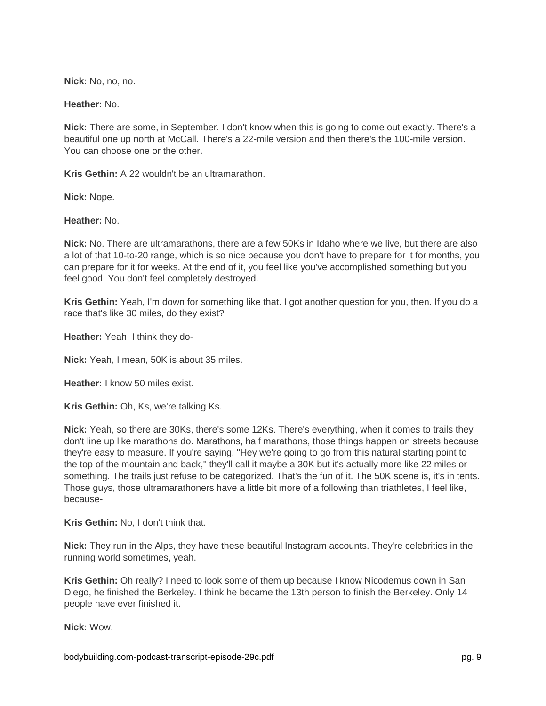**Nick:** No, no, no.

**Heather:** No.

**Nick:** There are some, in September. I don't know when this is going to come out exactly. There's a beautiful one up north at McCall. There's a 22-mile version and then there's the 100-mile version. You can choose one or the other.

**Kris Gethin:** A 22 wouldn't be an ultramarathon.

**Nick:** Nope.

**Heather:** No.

**Nick:** No. There are ultramarathons, there are a few 50Ks in Idaho where we live, but there are also a lot of that 10-to-20 range, which is so nice because you don't have to prepare for it for months, you can prepare for it for weeks. At the end of it, you feel like you've accomplished something but you feel good. You don't feel completely destroyed.

**Kris Gethin:** Yeah, I'm down for something like that. I got another question for you, then. If you do a race that's like 30 miles, do they exist?

**Heather:** Yeah, I think they do-

**Nick:** Yeah, I mean, 50K is about 35 miles.

**Heather:** I know 50 miles exist.

**Kris Gethin:** Oh, Ks, we're talking Ks.

**Nick:** Yeah, so there are 30Ks, there's some 12Ks. There's everything, when it comes to trails they don't line up like marathons do. Marathons, half marathons, those things happen on streets because they're easy to measure. If you're saying, "Hey we're going to go from this natural starting point to the top of the mountain and back," they'll call it maybe a 30K but it's actually more like 22 miles or something. The trails just refuse to be categorized. That's the fun of it. The 50K scene is, it's in tents. Those guys, those ultramarathoners have a little bit more of a following than triathletes, I feel like, because-

**Kris Gethin:** No, I don't think that.

**Nick:** They run in the Alps, they have these beautiful Instagram accounts. They're celebrities in the running world sometimes, yeah.

**Kris Gethin:** Oh really? I need to look some of them up because I know Nicodemus down in San Diego, he finished the Berkeley. I think he became the 13th person to finish the Berkeley. Only 14 people have ever finished it.

**Nick:** Wow.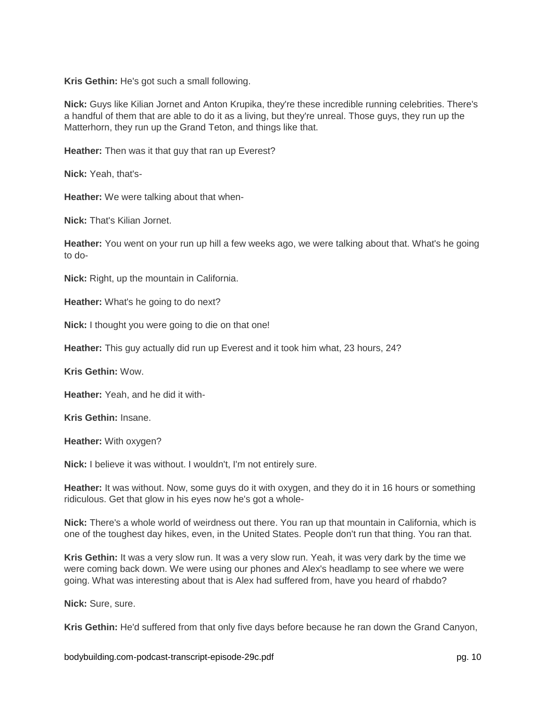**Kris Gethin:** He's got such a small following.

**Nick:** Guys like Kilian Jornet and Anton Krupika, they're these incredible running celebrities. There's a handful of them that are able to do it as a living, but they're unreal. Those guys, they run up the Matterhorn, they run up the Grand Teton, and things like that.

**Heather:** Then was it that guy that ran up Everest?

**Nick:** Yeah, that's-

**Heather:** We were talking about that when-

**Nick:** That's Kilian Jornet.

**Heather:** You went on your run up hill a few weeks ago, we were talking about that. What's he going to do-

**Nick:** Right, up the mountain in California.

**Heather:** What's he going to do next?

**Nick:** I thought you were going to die on that one!

**Heather:** This guy actually did run up Everest and it took him what, 23 hours, 24?

**Kris Gethin:** Wow.

**Heather:** Yeah, and he did it with-

**Kris Gethin:** Insane.

**Heather:** With oxygen?

**Nick:** I believe it was without. I wouldn't, I'm not entirely sure.

**Heather:** It was without. Now, some guys do it with oxygen, and they do it in 16 hours or something ridiculous. Get that glow in his eyes now he's got a whole-

**Nick:** There's a whole world of weirdness out there. You ran up that mountain in California, which is one of the toughest day hikes, even, in the United States. People don't run that thing. You ran that.

**Kris Gethin:** It was a very slow run. It was a very slow run. Yeah, it was very dark by the time we were coming back down. We were using our phones and Alex's headlamp to see where we were going. What was interesting about that is Alex had suffered from, have you heard of rhabdo?

**Nick:** Sure, sure.

**Kris Gethin:** He'd suffered from that only five days before because he ran down the Grand Canyon,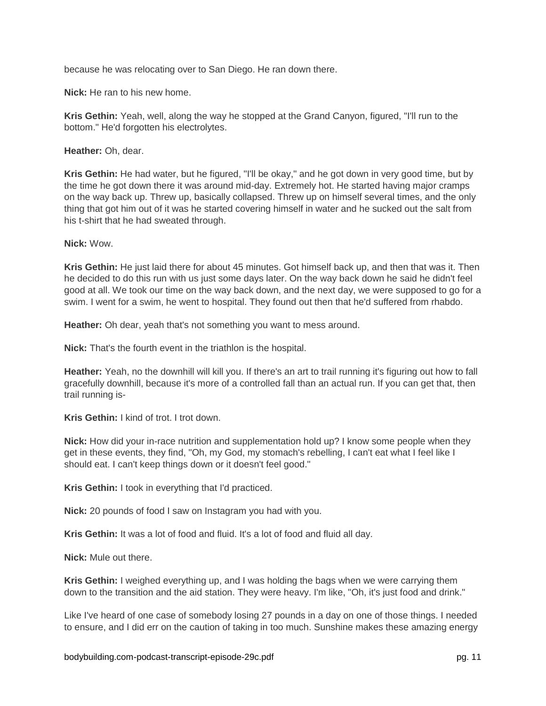because he was relocating over to San Diego. He ran down there.

**Nick:** He ran to his new home.

**Kris Gethin:** Yeah, well, along the way he stopped at the Grand Canyon, figured, "I'll run to the bottom." He'd forgotten his electrolytes.

**Heather:** Oh, dear.

**Kris Gethin:** He had water, but he figured, "I'll be okay," and he got down in very good time, but by the time he got down there it was around mid-day. Extremely hot. He started having major cramps on the way back up. Threw up, basically collapsed. Threw up on himself several times, and the only thing that got him out of it was he started covering himself in water and he sucked out the salt from his t-shirt that he had sweated through.

**Nick:** Wow.

**Kris Gethin:** He just laid there for about 45 minutes. Got himself back up, and then that was it. Then he decided to do this run with us just some days later. On the way back down he said he didn't feel good at all. We took our time on the way back down, and the next day, we were supposed to go for a swim. I went for a swim, he went to hospital. They found out then that he'd suffered from rhabdo.

**Heather:** Oh dear, yeah that's not something you want to mess around.

**Nick:** That's the fourth event in the triathlon is the hospital.

**Heather:** Yeah, no the downhill will kill you. If there's an art to trail running it's figuring out how to fall gracefully downhill, because it's more of a controlled fall than an actual run. If you can get that, then trail running is-

**Kris Gethin:** I kind of trot. I trot down.

**Nick:** How did your in-race nutrition and supplementation hold up? I know some people when they get in these events, they find, "Oh, my God, my stomach's rebelling, I can't eat what I feel like I should eat. I can't keep things down or it doesn't feel good."

**Kris Gethin:** I took in everything that I'd practiced.

**Nick:** 20 pounds of food I saw on Instagram you had with you.

**Kris Gethin:** It was a lot of food and fluid. It's a lot of food and fluid all day.

**Nick:** Mule out there.

**Kris Gethin:** I weighed everything up, and I was holding the bags when we were carrying them down to the transition and the aid station. They were heavy. I'm like, "Oh, it's just food and drink."

Like I've heard of one case of somebody losing 27 pounds in a day on one of those things. I needed to ensure, and I did err on the caution of taking in too much. Sunshine makes these amazing energy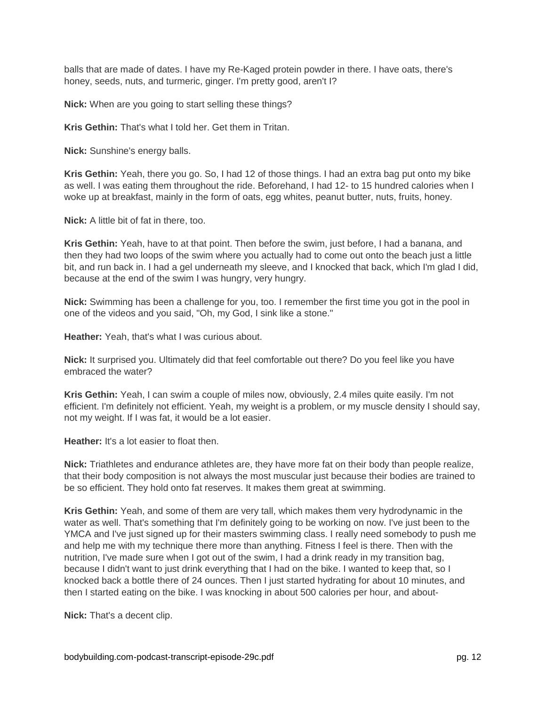balls that are made of dates. I have my Re-Kaged protein powder in there. I have oats, there's honey, seeds, nuts, and turmeric, ginger. I'm pretty good, aren't I?

**Nick:** When are you going to start selling these things?

**Kris Gethin:** That's what I told her. Get them in Tritan.

**Nick:** Sunshine's energy balls.

**Kris Gethin:** Yeah, there you go. So, I had 12 of those things. I had an extra bag put onto my bike as well. I was eating them throughout the ride. Beforehand, I had 12- to 15 hundred calories when I woke up at breakfast, mainly in the form of oats, egg whites, peanut butter, nuts, fruits, honey.

**Nick:** A little bit of fat in there, too.

**Kris Gethin:** Yeah, have to at that point. Then before the swim, just before, I had a banana, and then they had two loops of the swim where you actually had to come out onto the beach just a little bit, and run back in. I had a gel underneath my sleeve, and I knocked that back, which I'm glad I did, because at the end of the swim I was hungry, very hungry.

**Nick:** Swimming has been a challenge for you, too. I remember the first time you got in the pool in one of the videos and you said, "Oh, my God, I sink like a stone."

**Heather:** Yeah, that's what I was curious about.

**Nick:** It surprised you. Ultimately did that feel comfortable out there? Do you feel like you have embraced the water?

**Kris Gethin:** Yeah, I can swim a couple of miles now, obviously, 2.4 miles quite easily. I'm not efficient. I'm definitely not efficient. Yeah, my weight is a problem, or my muscle density I should say, not my weight. If I was fat, it would be a lot easier.

**Heather:** It's a lot easier to float then.

**Nick:** Triathletes and endurance athletes are, they have more fat on their body than people realize, that their body composition is not always the most muscular just because their bodies are trained to be so efficient. They hold onto fat reserves. It makes them great at swimming.

**Kris Gethin:** Yeah, and some of them are very tall, which makes them very hydrodynamic in the water as well. That's something that I'm definitely going to be working on now. I've just been to the YMCA and I've just signed up for their masters swimming class. I really need somebody to push me and help me with my technique there more than anything. Fitness I feel is there. Then with the nutrition, I've made sure when I got out of the swim, I had a drink ready in my transition bag, because I didn't want to just drink everything that I had on the bike. I wanted to keep that, so I knocked back a bottle there of 24 ounces. Then I just started hydrating for about 10 minutes, and then I started eating on the bike. I was knocking in about 500 calories per hour, and about-

**Nick:** That's a decent clip.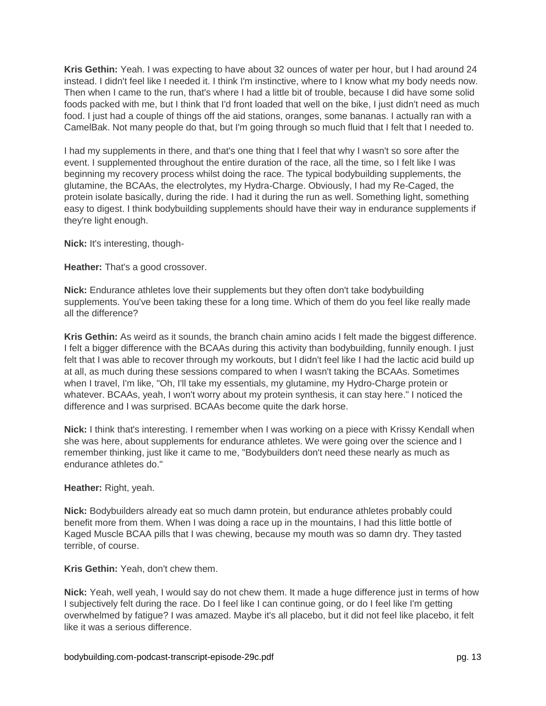**Kris Gethin:** Yeah. I was expecting to have about 32 ounces of water per hour, but I had around 24 instead. I didn't feel like I needed it. I think I'm instinctive, where to I know what my body needs now. Then when I came to the run, that's where I had a little bit of trouble, because I did have some solid foods packed with me, but I think that I'd front loaded that well on the bike, I just didn't need as much food. I just had a couple of things off the aid stations, oranges, some bananas. I actually ran with a CamelBak. Not many people do that, but I'm going through so much fluid that I felt that I needed to.

I had my supplements in there, and that's one thing that I feel that why I wasn't so sore after the event. I supplemented throughout the entire duration of the race, all the time, so I felt like I was beginning my recovery process whilst doing the race. The typical bodybuilding supplements, the glutamine, the BCAAs, the electrolytes, my Hydra-Charge. Obviously, I had my Re-Caged, the protein isolate basically, during the ride. I had it during the run as well. Something light, something easy to digest. I think bodybuilding supplements should have their way in endurance supplements if they're light enough.

**Nick:** It's interesting, though-

**Heather:** That's a good crossover.

**Nick:** Endurance athletes love their supplements but they often don't take bodybuilding supplements. You've been taking these for a long time. Which of them do you feel like really made all the difference?

**Kris Gethin:** As weird as it sounds, the branch chain amino acids I felt made the biggest difference. I felt a bigger difference with the BCAAs during this activity than bodybuilding, funnily enough. I just felt that I was able to recover through my workouts, but I didn't feel like I had the lactic acid build up at all, as much during these sessions compared to when I wasn't taking the BCAAs. Sometimes when I travel, I'm like, "Oh, I'll take my essentials, my glutamine, my Hydro-Charge protein or whatever. BCAAs, yeah, I won't worry about my protein synthesis, it can stay here." I noticed the difference and I was surprised. BCAAs become quite the dark horse.

**Nick:** I think that's interesting. I remember when I was working on a piece with Krissy Kendall when she was here, about supplements for endurance athletes. We were going over the science and I remember thinking, just like it came to me, "Bodybuilders don't need these nearly as much as endurance athletes do."

## **Heather:** Right, yeah.

**Nick:** Bodybuilders already eat so much damn protein, but endurance athletes probably could benefit more from them. When I was doing a race up in the mountains, I had this little bottle of Kaged Muscle BCAA pills that I was chewing, because my mouth was so damn dry. They tasted terrible, of course.

**Kris Gethin:** Yeah, don't chew them.

**Nick:** Yeah, well yeah, I would say do not chew them. It made a huge difference just in terms of how I subjectively felt during the race. Do I feel like I can continue going, or do I feel like I'm getting overwhelmed by fatigue? I was amazed. Maybe it's all placebo, but it did not feel like placebo, it felt like it was a serious difference.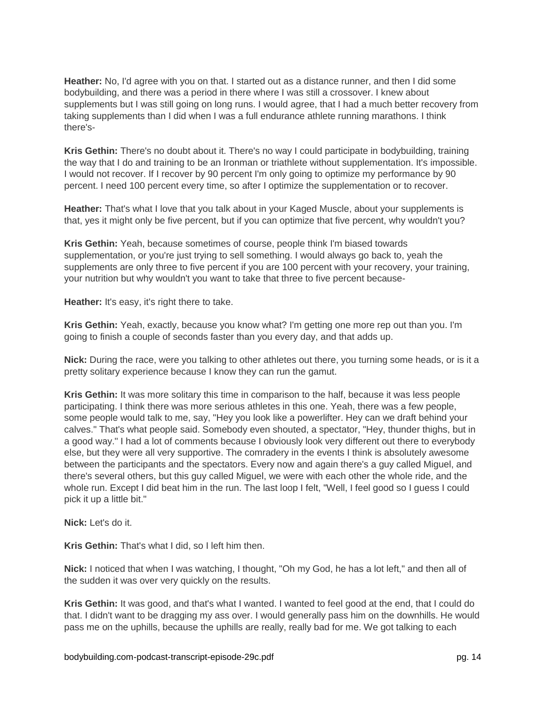**Heather:** No, I'd agree with you on that. I started out as a distance runner, and then I did some bodybuilding, and there was a period in there where I was still a crossover. I knew about supplements but I was still going on long runs. I would agree, that I had a much better recovery from taking supplements than I did when I was a full endurance athlete running marathons. I think there's-

**Kris Gethin:** There's no doubt about it. There's no way I could participate in bodybuilding, training the way that I do and training to be an Ironman or triathlete without supplementation. It's impossible. I would not recover. If I recover by 90 percent I'm only going to optimize my performance by 90 percent. I need 100 percent every time, so after I optimize the supplementation or to recover.

**Heather:** That's what I love that you talk about in your Kaged Muscle, about your supplements is that, yes it might only be five percent, but if you can optimize that five percent, why wouldn't you?

**Kris Gethin:** Yeah, because sometimes of course, people think I'm biased towards supplementation, or you're just trying to sell something. I would always go back to, yeah the supplements are only three to five percent if you are 100 percent with your recovery, your training, your nutrition but why wouldn't you want to take that three to five percent because-

**Heather:** It's easy, it's right there to take.

**Kris Gethin:** Yeah, exactly, because you know what? I'm getting one more rep out than you. I'm going to finish a couple of seconds faster than you every day, and that adds up.

**Nick:** During the race, were you talking to other athletes out there, you turning some heads, or is it a pretty solitary experience because I know they can run the gamut.

**Kris Gethin:** It was more solitary this time in comparison to the half, because it was less people participating. I think there was more serious athletes in this one. Yeah, there was a few people, some people would talk to me, say, "Hey you look like a powerlifter. Hey can we draft behind your calves." That's what people said. Somebody even shouted, a spectator, "Hey, thunder thighs, but in a good way." I had a lot of comments because I obviously look very different out there to everybody else, but they were all very supportive. The comradery in the events I think is absolutely awesome between the participants and the spectators. Every now and again there's a guy called Miguel, and there's several others, but this guy called Miguel, we were with each other the whole ride, and the whole run. Except I did beat him in the run. The last loop I felt, "Well, I feel good so I guess I could pick it up a little bit."

**Nick:** Let's do it.

**Kris Gethin:** That's what I did, so I left him then.

**Nick:** I noticed that when I was watching, I thought, "Oh my God, he has a lot left," and then all of the sudden it was over very quickly on the results.

**Kris Gethin:** It was good, and that's what I wanted. I wanted to feel good at the end, that I could do that. I didn't want to be dragging my ass over. I would generally pass him on the downhills. He would pass me on the uphills, because the uphills are really, really bad for me. We got talking to each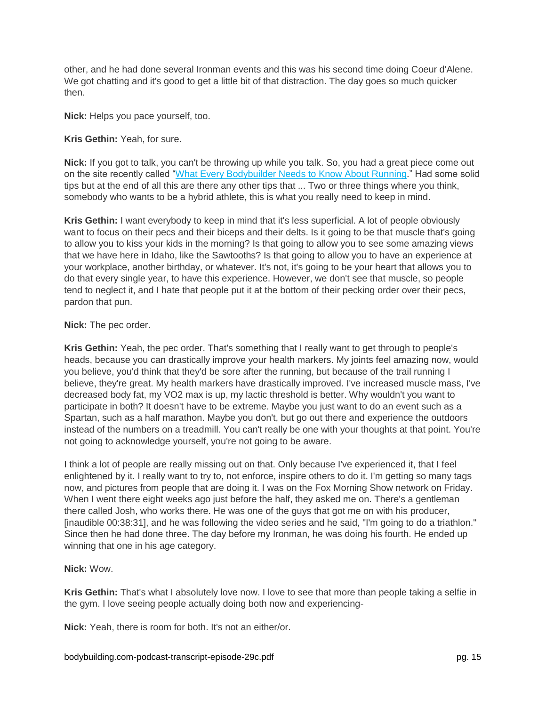other, and he had done several Ironman events and this was his second time doing Coeur d'Alene. We got chatting and it's good to get a little bit of that distraction. The day goes so much quicker then.

**Nick:** Helps you pace yourself, too.

**Kris Gethin:** Yeah, for sure.

**Nick:** If you got to talk, you can't be throwing up while you talk. So, you had a great piece come out on the site recently called ["What Every Bodybuilder Needs to Know About Running.](https://www.bodybuilding.com/content/what-every-bodybuilder-needs-to-know-about-running.html)" Had some solid tips but at the end of all this are there any other tips that ... Two or three things where you think, somebody who wants to be a hybrid athlete, this is what you really need to keep in mind.

**Kris Gethin:** I want everybody to keep in mind that it's less superficial. A lot of people obviously want to focus on their pecs and their biceps and their delts. Is it going to be that muscle that's going to allow you to kiss your kids in the morning? Is that going to allow you to see some amazing views that we have here in Idaho, like the Sawtooths? Is that going to allow you to have an experience at your workplace, another birthday, or whatever. It's not, it's going to be your heart that allows you to do that every single year, to have this experience. However, we don't see that muscle, so people tend to neglect it, and I hate that people put it at the bottom of their pecking order over their pecs, pardon that pun.

### **Nick:** The pec order.

**Kris Gethin:** Yeah, the pec order. That's something that I really want to get through to people's heads, because you can drastically improve your health markers. My joints feel amazing now, would you believe, you'd think that they'd be sore after the running, but because of the trail running I believe, they're great. My health markers have drastically improved. I've increased muscle mass, I've decreased body fat, my VO2 max is up, my lactic threshold is better. Why wouldn't you want to participate in both? It doesn't have to be extreme. Maybe you just want to do an event such as a Spartan, such as a half marathon. Maybe you don't, but go out there and experience the outdoors instead of the numbers on a treadmill. You can't really be one with your thoughts at that point. You're not going to acknowledge yourself, you're not going to be aware.

I think a lot of people are really missing out on that. Only because I've experienced it, that I feel enlightened by it. I really want to try to, not enforce, inspire others to do it. I'm getting so many tags now, and pictures from people that are doing it. I was on the Fox Morning Show network on Friday. When I went there eight weeks ago just before the half, they asked me on. There's a gentleman there called Josh, who works there. He was one of the guys that got me on with his producer, [inaudible 00:38:31], and he was following the video series and he said, "I'm going to do a triathlon." Since then he had done three. The day before my Ironman, he was doing his fourth. He ended up winning that one in his age category.

### **Nick:** Wow.

**Kris Gethin:** That's what I absolutely love now. I love to see that more than people taking a selfie in the gym. I love seeing people actually doing both now and experiencing-

**Nick:** Yeah, there is room for both. It's not an either/or.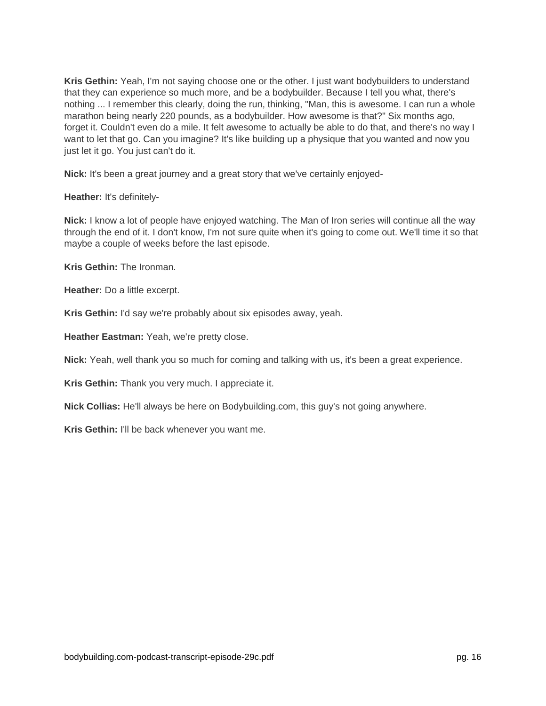**Kris Gethin:** Yeah, I'm not saying choose one or the other. I just want bodybuilders to understand that they can experience so much more, and be a bodybuilder. Because I tell you what, there's nothing ... I remember this clearly, doing the run, thinking, "Man, this is awesome. I can run a whole marathon being nearly 220 pounds, as a bodybuilder. How awesome is that?" Six months ago, forget it. Couldn't even do a mile. It felt awesome to actually be able to do that, and there's no way I want to let that go. Can you imagine? It's like building up a physique that you wanted and now you just let it go. You just can't do it.

**Nick:** It's been a great journey and a great story that we've certainly enjoyed-

**Heather:** It's definitely-

**Nick:** I know a lot of people have enjoyed watching. The Man of Iron series will continue all the way through the end of it. I don't know, I'm not sure quite when it's going to come out. We'll time it so that maybe a couple of weeks before the last episode.

**Kris Gethin:** The Ironman.

**Heather:** Do a little excerpt.

**Kris Gethin:** I'd say we're probably about six episodes away, yeah.

**Heather Eastman:** Yeah, we're pretty close.

**Nick:** Yeah, well thank you so much for coming and talking with us, it's been a great experience.

**Kris Gethin:** Thank you very much. I appreciate it.

**Nick Collias:** He'll always be here on Bodybuilding.com, this guy's not going anywhere.

**Kris Gethin:** I'll be back whenever you want me.